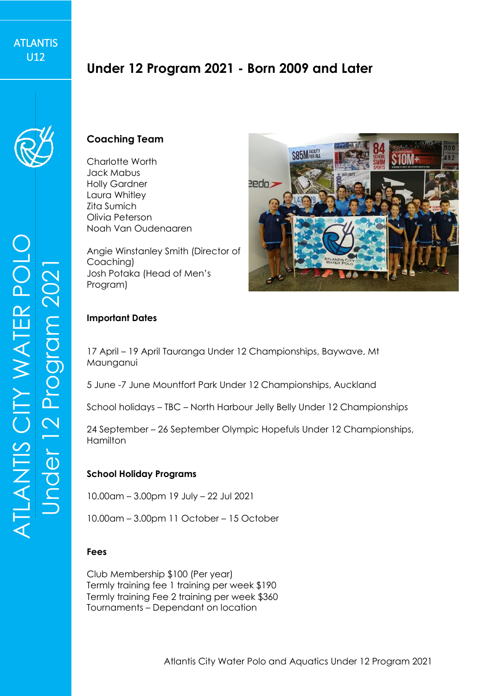# **Under 12 Program 2021 - Born 2009 and Later**



### **Coaching Team**

Charlotte Worth Jack Mabus Holly Gardner Laura Whitley Zita Sumich Olivia Peterson Noah Van Oudenaaren

Angie Winstanley Smith (Director of Coaching) Josh Potaka (Head of Men's Program)



#### **Important Dates**

17 April – 19 April Tauranga Under 12 Championships, Baywave, Mt Maunganui

5 June -7 June Mountfort Park Under 12 Championships, Auckland

School holidays – TBC – North Harbour Jelly Belly Under 12 Championships

24 September – 26 September Olympic Hopefuls Under 12 Championships, Hamilton

#### **School Holiday Programs**

10.00am – 3.00pm 19 July – 22 Jul 2021

10.00am – 3.00pm 11 October – 15 October

#### **Fees**

Club Membership \$100 (Per year) Termly training fee 1 training per week \$190 Termly training Fee 2 training per week \$360 Tournaments – Dependant on location